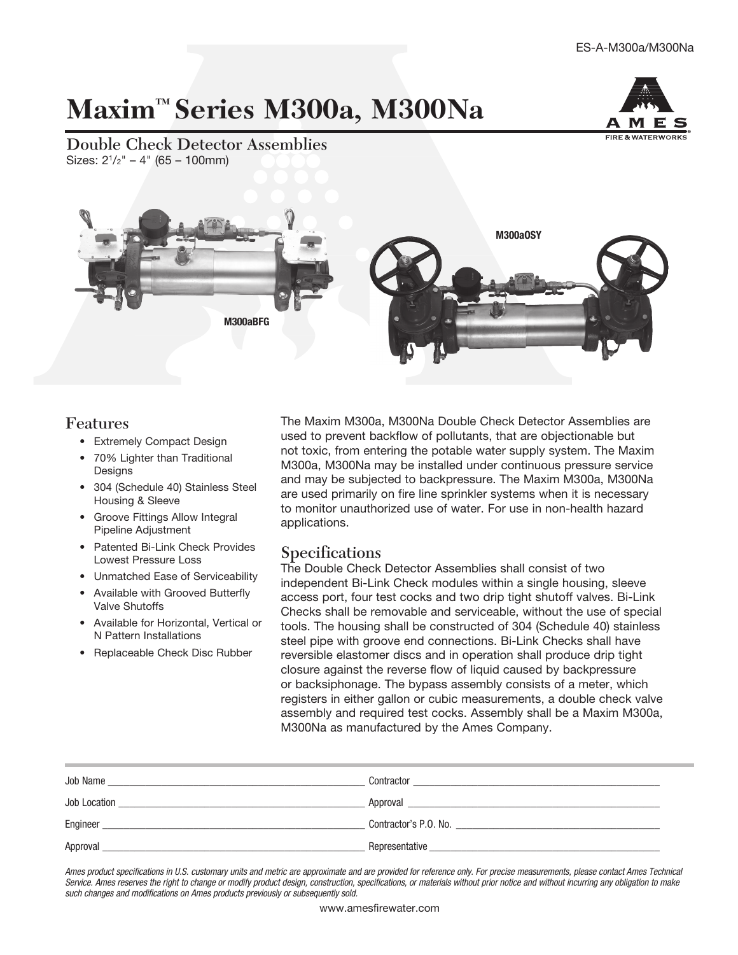# Maxim<sup>™</sup> Series M300a, M300Na



Double Check Detector Assemblies Sizes:  $2^{1}/2" - 4"$  (65 – 100mm)



#### Features

- Extremely Compact Design
- 70% Lighter than Traditional Designs
- 304 (Schedule 40) Stainless Steel Housing & Sleeve
- Groove Fittings Allow Integral Pipeline Adjustment
- Patented Bi-Link Check Provides Lowest Pressure Loss
- Unmatched Ease of Serviceability
- Available with Grooved Butterfly Valve Shutoffs
- Available for Horizontal, Vertical or N Pattern Installations
- Replaceable Check Disc Rubber

The Maxim M300a, M300Na Double Check Detector Assemblies are used to prevent backflow of pollutants, that are objectionable but not toxic, from entering the potable water supply system. The Maxim M300a, M300Na may be installed under continuous pressure service and may be subjected to backpressure. The Maxim M300a, M300Na are used primarily on fire line sprinkler systems when it is necessary to monitor unauthorized use of water. For use in non-health hazard applications.

## Specifications

The Double Check Detector Assemblies shall consist of two independent Bi-Link Check modules within a single housing, sleeve access port, four test cocks and two drip tight shutoff valves. Bi-Link Checks shall be removable and serviceable, without the use of special tools. The housing shall be constructed of 304 (Schedule 40) stainless steel pipe with groove end connections. Bi-Link Checks shall have reversible elastomer discs and in operation shall produce drip tight closure against the reverse flow of liquid caused by backpressure or backsiphonage. The bypass assembly consists of a meter, which registers in either gallon or cubic measurements, a double check valve assembly and required test cocks. Assembly shall be a Maxim M300a, M300Na as manufactured by the Ames Company.

| Job Name<br>the control of the control of the control of the control of the control of the control of the control of the control of the control of the control of the control of the control of the control of the control of the control | Contractor<br><u> 1989 - Jan Salam Barat, masjid a shekara ta 1989 - An tsara ta 1989 - An tsara ta 1989 - An tsara ta 1989 - </u>                                                                                             |
|-------------------------------------------------------------------------------------------------------------------------------------------------------------------------------------------------------------------------------------------|--------------------------------------------------------------------------------------------------------------------------------------------------------------------------------------------------------------------------------|
| Job Location<br><u> 1989 - Johann Stein, Amerikaansk politiker (</u>                                                                                                                                                                      | Approval and the contract of the contract of the contract of the contract of the contract of the contract of the contract of the contract of the contract of the contract of the contract of the contract of the contract of t |
| Engineer                                                                                                                                                                                                                                  |                                                                                                                                                                                                                                |
| Approval                                                                                                                                                                                                                                  | Representative                                                                                                                                                                                                                 |

Ames product specifications in U.S. customary units and metric are approximate and are provided for reference only. For precise measurements, please contact Ames Technical Service. Ames reserves the right to change or modify product design, construction, specifications, or materials without prior notice and without incurring any obligation to make such changes and modifications on Ames products previously or subsequently sold.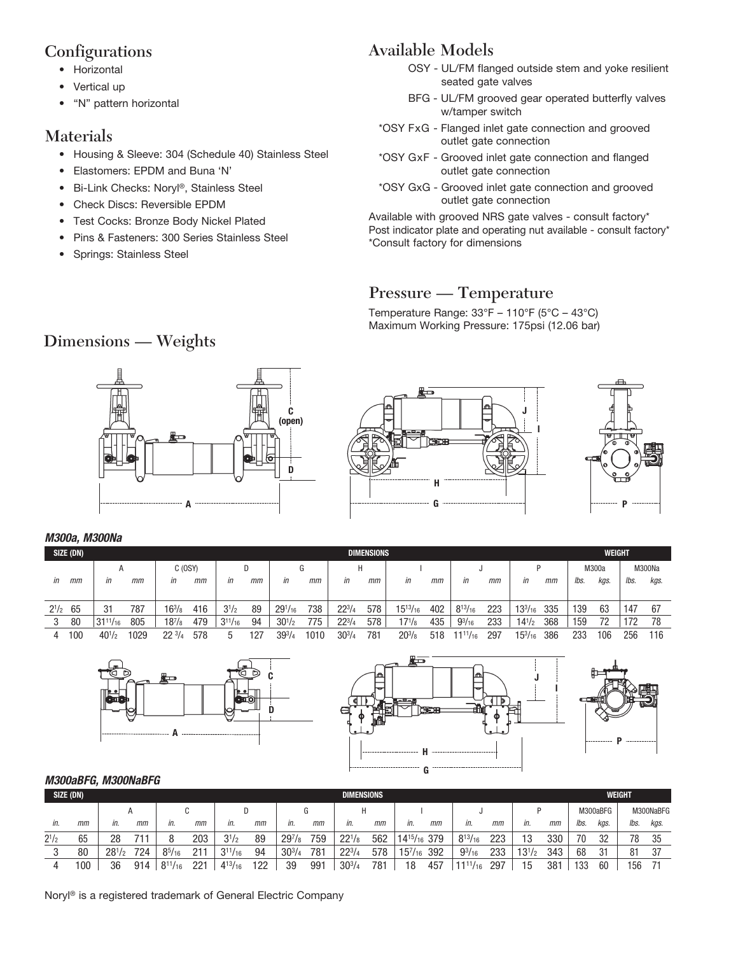## Configurations

- Horizontal
- Vertical up
- "N" pattern horizontal

# Materials

- Housing & Sleeve: 304 (Schedule 40) Stainless Steel
- Elastomers: EPDM and Buna 'N'
- Bi-Link Checks: Noryl®, Stainless Steel
- Check Discs: Reversible EPDM
- Test Cocks: Bronze Body Nickel Plated
- Pins & Fasteners: 300 Series Stainless Steel
- Springs: Stainless Steel

# Available Models

- OSY UL/FM flanged outside stem and yoke resilient seated gate valves
- BFG UL/FM grooved gear operated butterfly valves w/tamper switch
- \*OSY FxG Flanged inlet gate connection and grooved outlet gate connection
- \*OSY GxF Grooved inlet gate connection and flanged outlet gate connection
- \*OSY GxG Grooved inlet gate connection and grooved outlet gate connection

Available with grooved NRS gate valves - consult factory\* Post indicator plate and operating nut available - consult factory\* \*Consult factory for dimensions

# Pressure — Temperature

Temperature Range:  $33^{\circ}F - 110^{\circ}F (5^{\circ}C - 43^{\circ}C)$ Maximum Working Pressure: 175psi (12.06 bar)

# Dimensions — Weights





#### *M300a, M300Na*

|           | SIZE (DN) | <b>DIMENSIONS</b> |     |                     |     |                |       |                |      |            |     |                 |     |                 | WEIGHT |                |     |       |      |        |      |
|-----------|-----------|-------------------|-----|---------------------|-----|----------------|-------|----------------|------|------------|-----|-----------------|-----|-----------------|--------|----------------|-----|-------|------|--------|------|
|           |           | A                 |     | C(0SY)              |     | D              |       |                |      | H          |     |                 |     |                 |        |                |     | M300a |      | M300Na |      |
| in        | mm        | in                | mm  | in                  | mm  | in             | mm    | in             | mm   | in         | mт  | in              | mm  | in              | mm     | in             | mm  | lbs.  | kgs. | lbs.   | kgs. |
|           |           |                   |     |                     |     |                |       |                |      |            |     |                 |     |                 |        |                |     |       |      |        |      |
| $2^{1/2}$ | 65        | 31                | 787 | $16^{3}/\mathrm{s}$ | 416 | $3^{1/2}$      | 89    | $29^{1}/_{16}$ | 738  | $22^{3}/4$ | 578 | $15^{13}/_{16}$ | 402 | $8^{13}/_{16}$  | 223    | $13^{3}/_{16}$ | 335 | 139   | 63   | 147    | 67   |
|           | 80        | $131^{11}/_{16}$  | 805 | $18^{7}/\!s$        | 479 | $3^{11}/_{16}$ | 94    | $30^{1/2}$     | 775  | $22^{3}/4$ | 578 | $17^{1}/8$      | 435 | $9^{3}/_{16}$   | 233    | $14^{1/2}$     | 368 | 159   | 79   | 172    | 78   |
|           | 100       | $40^{1/2}$        | 029 | 2231                | 578 | ა              | $12-$ | $39^{3}/$      | 1010 | $30^{3}/4$ | 781 | $20^{3}/_8$     | 518 | $11^{11}/_{16}$ | 297    | $15^{3}/_{16}$ | 386 | 233   | 106  | 256    | 116  |







#### *M300aBFG, M300NaBFG*

| SIZE (DN)<br><b>DIMENSIONS</b> |     |            |     |                |     |                |     |             |     |            |     |                                      |     |                | WEIGHT |            |     |          |      |           |      |
|--------------------------------|-----|------------|-----|----------------|-----|----------------|-----|-------------|-----|------------|-----|--------------------------------------|-----|----------------|--------|------------|-----|----------|------|-----------|------|
|                                |     |            |     |                |     |                |     | G           |     |            |     |                                      |     |                |        |            |     | M300aBFG |      | M300NaBFG |      |
| in.                            | mm  | in.        | mm  | in.            | mm  | in.            | mm  | in.         | mm  | in.        | mm  | in.                                  | mm  | in.            | mm     | in.        | mm  | lbs.     | kas. | lbs.      | kgs. |
| $2^{1/2}$                      | 65  | 28         |     |                | 203 | $3^{1/2}$      | 89  | $29^{7}/_8$ | 759 | $22^{1/8}$ | 562 | 14 <sup>15</sup> / <sub>16</sub> 379 |     | $8^{13}/_{16}$ | 223    | 13         | 330 | 70       | 32   | 78        | 35   |
| υ                              | 80  | $28^{1/2}$ | 724 | $8^{5}/_{16}$  | 211 | $3^{11}/_{16}$ | 94  | $30^{3}/4$  | 781 | $22^{3}/4$ | 578 | $15^{7}/_{16}$                       | 392 | $9^{3}/_{16}$  | 233    | $13^{1/2}$ | 343 | 68       | 31   | 81        | 37   |
| 4                              | 100 | 36         | 914 | $8^{11}/_{16}$ | 221 | $4^{13}/_{16}$ | 122 | 39          | 991 | $30^{3}/4$ | 781 | 18                                   | 457 | $11^{11}/10$   | 297    | 15         | 381 | 133      | 60   | 156       |      |

Noryl® is a registered trademark of General Electric Company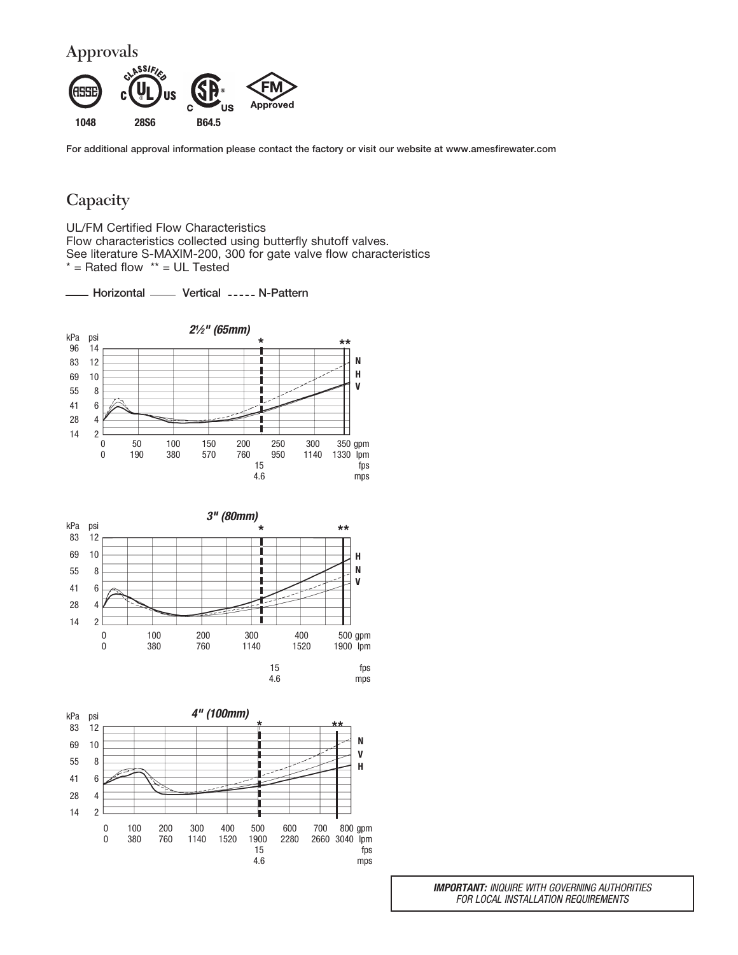

**For additional approval information please contact the factory or visit our website at www.amesfirewater.com**

## **Capacity**

UL/FM Certified Flow Characteristics Flow characteristics collected using butterfly shutoff valves. See literature S-MAXIM-200, 300 for gate valve flow characteristics \* = Rated flow \*\* = UL Tested

- Horizontal **WALD** Vertical ----- N-Pattern







*IMPORTANT:* INQUIRE WITH GOVERNING AUTHORITIES FOR LOCAL INSTALLATION REQUIREMENTS